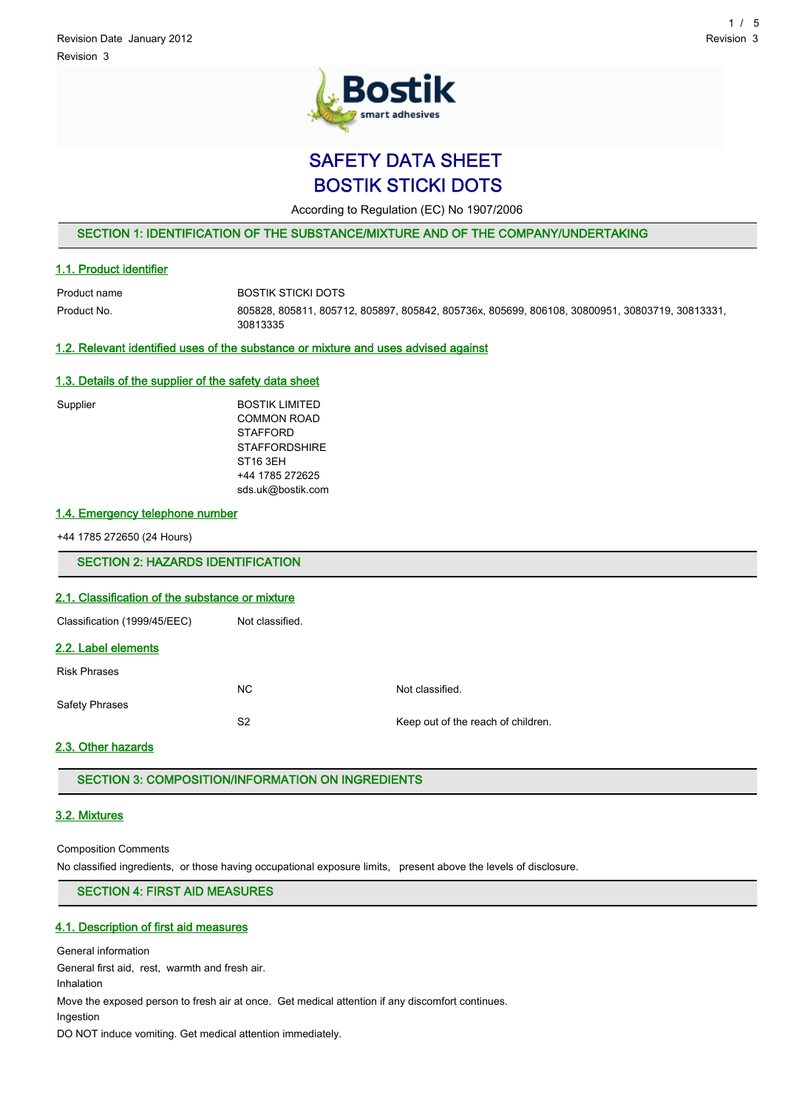

SAFETY DATA SHEET BOSTIK STICKI DOTS

According to Regulation (EC) No 1907/2006

SECTION 1: IDENTIFICATION OF THE SUBSTANCE/MIXTURE AND OF THE COMPANY/UNDERTAKING

## 1.1. Product identifier

Product name BOSTIK STICKI DOTS Product No. 805828, 805811, 805712, 805897, 805842, 805736x, 805699, 806108, 30800951, 30803719, 30813331, 30813335

# 1.2. Relevant identified uses of the substance or mixture and uses advised against

# 1.3. Details of the supplier of the safety data sheet

| Supplier | <b>BOSTIK LIMITED</b> |
|----------|-----------------------|
|          | <b>COMMON ROAD</b>    |
|          | <b>STAFFORD</b>       |
|          | <b>STAFFORDSHIRE</b>  |
|          | ST <sub>16</sub> 3EH  |
|          | +44 1785 272625       |
|          | sds.uk@bostik.com     |
|          |                       |

# 1.4. Emergency telephone number

+44 1785 272650 (24 Hours)

SECTION 2: HAZARDS IDENTIFICATION

# 2.1. Classification of the substance or mixture

Classification (1999/45/EEC) Not classified.

# 2.2. Label elements

Risk Phrases NC Not classified. Safety Phrases S2 Keep out of the reach of children.

# 2.3. Other hazards

SECTION 3: COMPOSITION/INFORMATION ON INGREDIENTS

## 3.2. Mixtures

Composition Comments

No classified ingredients, or those having occupational exposure limits, present above the levels of disclosure.

# SECTION 4: FIRST AID MEASURES

# 4.1. Description of first aid measures

General information

General first aid, rest, warmth and fresh air.

Inhalation

Move the exposed person to fresh air at once. Get medical attention if any discomfort continues.

Ingestion

DO NOT induce vomiting. Get medical attention immediately.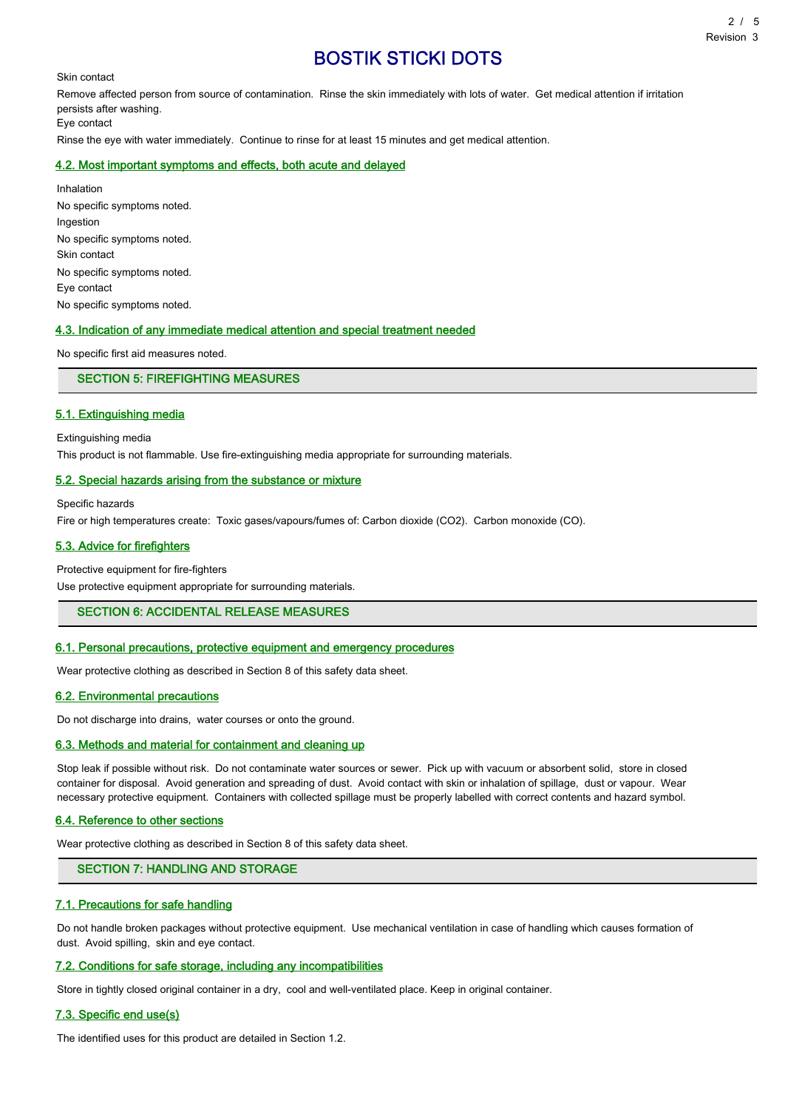Skin contact

Remove affected person from source of contamination. Rinse the skin immediately with lots of water. Get medical attention if irritation persists after washing. Eye contact

Rinse the eye with water immediately. Continue to rinse for at least 15 minutes and get medical attention.

## 4.2. Most important symptoms and effects, both acute and delayed

Inhalation No specific symptoms noted. Ingestion No specific symptoms noted. Skin contact No specific symptoms noted. Eye contact No specific symptoms noted.

## 4.3. Indication of any immediate medical attention and special treatment needed

No specific first aid measures noted.

SECTION 5: FIREFIGHTING MEASURES

#### 5.1. Extinguishing media

Extinguishing media

This product is not flammable. Use fire-extinguishing media appropriate for surrounding materials.

#### 5.2. Special hazards arising from the substance or mixture

Specific hazards

Fire or high temperatures create: Toxic gases/vapours/fumes of: Carbon dioxide (CO2). Carbon monoxide (CO).

### 5.3. Advice for firefighters

Protective equipment for fire-fighters

Use protective equipment appropriate for surrounding materials.

SECTION 6: ACCIDENTAL RELEASE MEASURES

## 6.1. Personal precautions, protective equipment and emergency procedures

Wear protective clothing as described in Section 8 of this safety data sheet.

# 6.2. Environmental precautions

Do not discharge into drains, water courses or onto the ground.

### 6.3. Methods and material for containment and cleaning up

Stop leak if possible without risk. Do not contaminate water sources or sewer. Pick up with vacuum or absorbent solid, store in closed container for disposal. Avoid generation and spreading of dust. Avoid contact with skin or inhalation of spillage, dust or vapour. Wear necessary protective equipment. Containers with collected spillage must be properly labelled with correct contents and hazard symbol.

#### 6.4. Reference to other sections

Wear protective clothing as described in Section 8 of this safety data sheet.

## SECTION 7: HANDLING AND STORAGE

### 7.1. Precautions for safe handling

Do not handle broken packages without protective equipment. Use mechanical ventilation in case of handling which causes formation of dust. Avoid spilling, skin and eye contact.

#### 7.2. Conditions for safe storage, including any incompatibilities

Store in tightly closed original container in a dry, cool and well-ventilated place. Keep in original container.

#### 7.3. Specific end use(s)

The identified uses for this product are detailed in Section 1.2.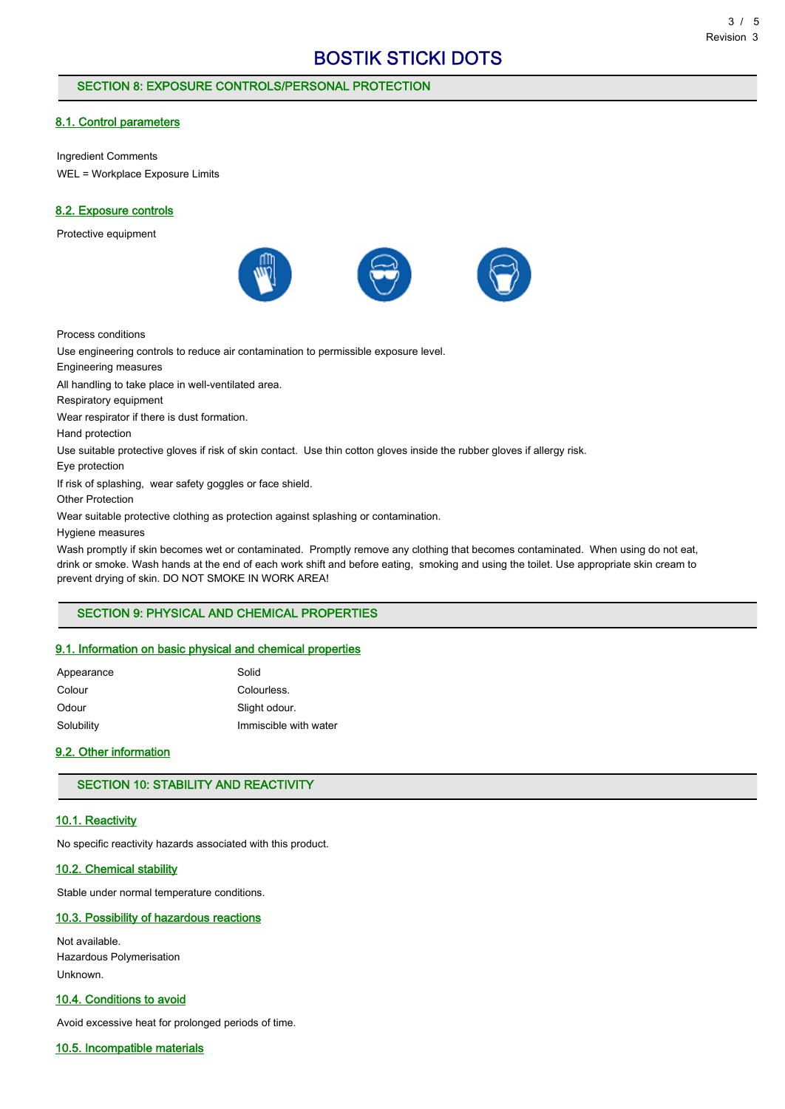# SECTION 8: EXPOSURE CONTROLS/PERSONAL PROTECTION

# 8.1. Control parameters

Ingredient Comments WEL = Workplace Exposure Limits

# 8.2. Exposure controls

Protective equipment



Process conditions

Use engineering controls to reduce air contamination to permissible exposure level.

Engineering measures

All handling to take place in well-ventilated area.

Respiratory equipment

Wear respirator if there is dust formation.

Hand protection

Use suitable protective gloves if risk of skin contact. Use thin cotton gloves inside the rubber gloves if allergy risk.

Eye protection

If risk of splashing, wear safety goggles or face shield.

Other Protection

Wear suitable protective clothing as protection against splashing or contamination.

Hygiene measures

Wash promptly if skin becomes wet or contaminated. Promptly remove any clothing that becomes contaminated. When using do not eat, drink or smoke. Wash hands at the end of each work shift and before eating, smoking and using the toilet. Use appropriate skin cream to prevent drying of skin. DO NOT SMOKE IN WORK AREA!

# SECTION 9: PHYSICAL AND CHEMICAL PROPERTIES

# 9.1. Information on basic physical and chemical properties

| Appearance | Solid                 |
|------------|-----------------------|
| Colour     | Colourless.           |
| Odour      | Slight odour.         |
| Solubility | Immiscible with water |

# 9.2. Other information

# SECTION 10: STABILITY AND REACTIVITY

# 10.1. Reactivity

No specific reactivity hazards associated with this product.

#### 10.2. Chemical stability

Stable under normal temperature conditions.

# 10.3. Possibility of hazardous reactions

Not available. Hazardous Polymerisation Unknown.

# 10.4. Conditions to avoid

Avoid excessive heat for prolonged periods of time.

# 10.5. Incompatible materials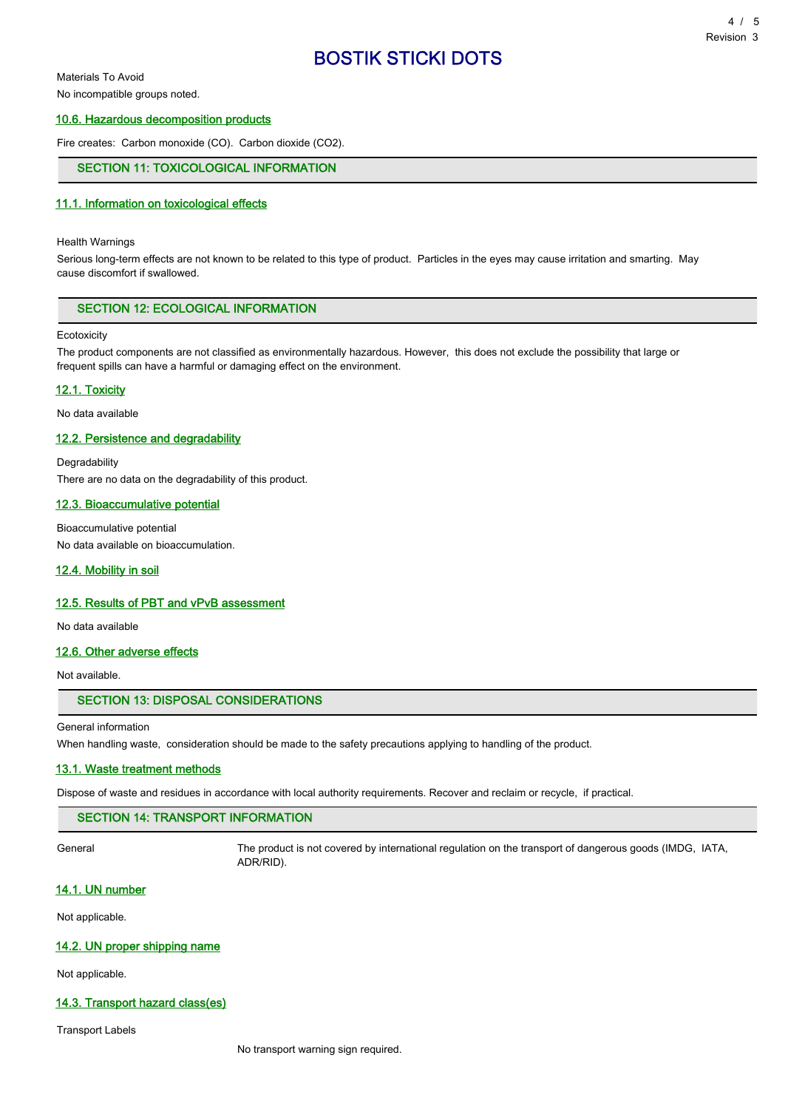Materials To Avoid

No incompatible groups noted.

## 10.6. Hazardous decomposition products

Fire creates: Carbon monoxide (CO). Carbon dioxide (CO2).

# SECTION 11: TOXICOLOGICAL INFORMATION

#### 11.1. Information on toxicological effects

#### Health Warnings

Serious long-term effects are not known to be related to this type of product. Particles in the eyes may cause irritation and smarting. May cause discomfort if swallowed.

# SECTION 12: ECOLOGICAL INFORMATION

#### **Ecotoxicity**

The product components are not classified as environmentally hazardous. However, this does not exclude the possibility that large or frequent spills can have a harmful or damaging effect on the environment.

#### 12.1. Toxicity

No data available

# 12.2. Persistence and degradability

Degradability There are no data on the degradability of this product.

# 12.3. Bioaccumulative potential

Bioaccumulative potential No data available on bioaccumulation.

### 12.4. Mobility in soil

#### 12.5. Results of PBT and vPvB assessment

No data available

# 12.6. Other adverse effects

Not available.

### SECTION 13: DISPOSAL CONSIDERATIONS

#### General information

When handling waste, consideration should be made to the safety precautions applying to handling of the product.

#### 13.1. Waste treatment methods

Dispose of waste and residues in accordance with local authority requirements. Recover and reclaim or recycle, if practical.

## SECTION 14: TRANSPORT INFORMATION

General The product is not covered by international regulation on the transport of dangerous goods (IMDG, IATA, ADR/RID).

# 14.1. UN number

Not applicable.

## 14.2. UN proper shipping name

Not applicable.

# 14.3. Transport hazard class(es)

Transport Labels

No transport warning sign required.